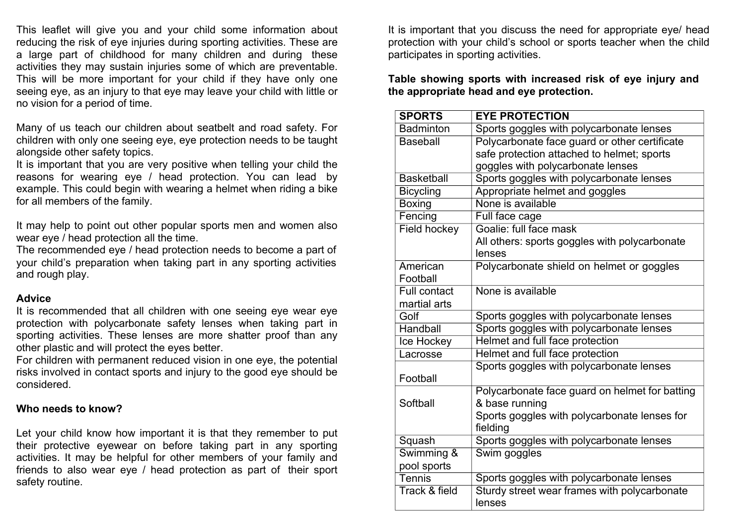This leaflet will give you and your child some information about reducing the risk of eye injuries during sporting activities. These are a large part of childhood for many children and during these activities they may sustain injuries some of which are preventable. This will be more important for your child if they have only one seeing eye, as an injury to that eye may leave your child with little or no vision for a period of time.

Many of us teach our children about seatbelt and road safety. For children with only one seeing eye, eye protection needs to be taught alongside other safety topics.

It is important that you are very positive when telling your child the reasons for wearing eye / head protection. You can lead by example. This could begin with wearing a helmet when riding a bike for all members of the family.

It may help to point out other popular sports men and women also wear eye / head protection all the time.

The recommended eye / head protection needs to become a part of your child's preparation when taking part in any sporting activities and rough play.

### **Advice**

It is recommended that all children with one seeing eye wear eye protection with polycarbonate safety lenses when taking part in sporting activities. These lenses are more shatter proof than any other plastic and will protect the eyes better.

For children with permanent reduced vision in one eye, the potential risks involved in contact sports and injury to the good eye should be considered.

# **Who needs to know?**

Let your child know how important it is that they remember to put their protective eyewear on before taking part in any sporting activities. It may be helpful for other members of your family and friends to also wear eye / head protection as part of their sport safety routine.

It is important that you discuss the need for appropriate eye/ head protection with your child's school or sports teacher when the child participates in sporting activities.

**Table showing sports with increased risk of eye injury and the appropriate head and eye protection.**

| <b>SPORTS</b>            | <b>EYE PROTECTION</b>                          |
|--------------------------|------------------------------------------------|
| <b>Badminton</b>         | Sports goggles with polycarbonate lenses       |
| <b>Baseball</b>          | Polycarbonate face guard or other certificate  |
|                          | safe protection attached to helmet; sports     |
|                          | goggles with polycarbonate lenses              |
| <b>Basketball</b>        | Sports goggles with polycarbonate lenses       |
| <b>Bicycling</b>         | Appropriate helmet and goggles                 |
| <b>Boxing</b>            | None is available                              |
| Fencing                  | Full face cage                                 |
| <b>Field hockey</b>      | Goalie: full face mask                         |
|                          | All others: sports goggles with polycarbonate  |
|                          | lenses                                         |
| American                 | Polycarbonate shield on helmet or goggles      |
| Football                 |                                                |
| <b>Full contact</b>      | None is available                              |
| martial arts             |                                                |
| Golf                     | Sports goggles with polycarbonate lenses       |
| Handball                 | Sports goggles with polycarbonate lenses       |
| Ice Hockey               | Helmet and full face protection                |
| Lacrosse                 | Helmet and full face protection                |
|                          | Sports goggles with polycarbonate lenses       |
| Football                 |                                                |
|                          | Polycarbonate face guard on helmet for batting |
| Softball                 | & base running                                 |
|                          | Sports goggles with polycarbonate lenses for   |
|                          | fielding                                       |
| Squash                   | Sports goggles with polycarbonate lenses       |
| Swimming &               | Swim goggles                                   |
| pool sports              |                                                |
| Tennis                   | Sports goggles with polycarbonate lenses       |
| <b>Track &amp; field</b> | Sturdy street wear frames with polycarbonate   |
|                          | lenses                                         |